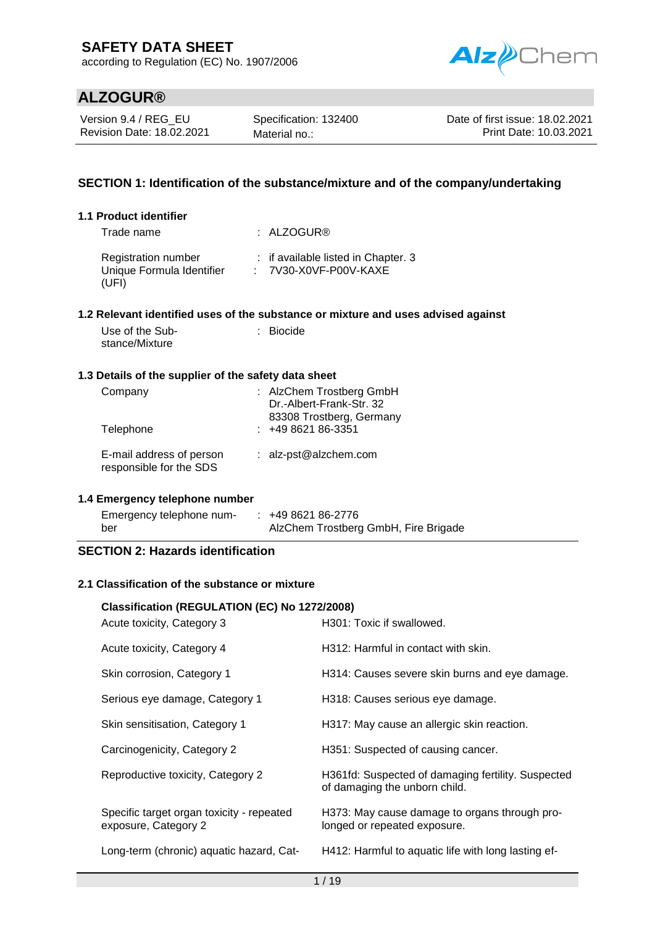according to Regulation (EC) No. 1907/2006



## **ALZOGUR®**

Version 9.4 / REG\_EU Revision Date: 18.02.2021 Specification: 132400 Material no.:

Date of first issue: 18.02.2021 Print Date: 10.03.2021

## **SECTION 1: Identification of the substance/mixture and of the company/undertaking**

### **1.1 Product identifier**

| Trade name                                                | : ALZOGUR@                                                     |
|-----------------------------------------------------------|----------------------------------------------------------------|
| Registration number<br>Unique Formula Identifier<br>(UFI) | : if available listed in Chapter. 3<br>$: 7V30-X0VF-PO0V-KAXE$ |

### **1.2 Relevant identified uses of the substance or mixture and uses advised against**

| Use of the Sub- | : Biocide |
|-----------------|-----------|
| stance/Mixture  |           |

### **1.3 Details of the supplier of the safety data sheet**

| Company<br>Telephone                                | : AlzChem Trostberg GmbH<br>Dr.-Albert-Frank-Str. 32<br>83308 Trostberg, Germany<br>$: 49862186-3351$ |
|-----------------------------------------------------|-------------------------------------------------------------------------------------------------------|
| E-mail address of person<br>responsible for the SDS | : alz-pst@alzchem.com                                                                                 |

### **1.4 Emergency telephone number**

| Emergency telephone num- | $: 49862186-2776$                    |
|--------------------------|--------------------------------------|
| ber                      | AlzChem Trostberg GmbH, Fire Brigade |

### **SECTION 2: Hazards identification**

### **2.1 Classification of the substance or mixture**

## **Classification (REGULATION (EC) No 1272/2008)**

| Acute toxicity, Category 3                                        | H301: Toxic if swallowed.                                                           |
|-------------------------------------------------------------------|-------------------------------------------------------------------------------------|
| Acute toxicity, Category 4                                        | H312: Harmful in contact with skin.                                                 |
| Skin corrosion, Category 1                                        | H314: Causes severe skin burns and eye damage.                                      |
| Serious eye damage, Category 1                                    | H318: Causes serious eye damage.                                                    |
| Skin sensitisation, Category 1                                    | H317: May cause an allergic skin reaction.                                          |
| Carcinogenicity, Category 2                                       | H351: Suspected of causing cancer.                                                  |
| Reproductive toxicity, Category 2                                 | H361fd: Suspected of damaging fertility. Suspected<br>of damaging the unborn child. |
| Specific target organ toxicity - repeated<br>exposure, Category 2 | H373: May cause damage to organs through pro-<br>longed or repeated exposure.       |
| Long-term (chronic) aquatic hazard, Cat-                          | H412: Harmful to aquatic life with long lasting ef-                                 |
|                                                                   |                                                                                     |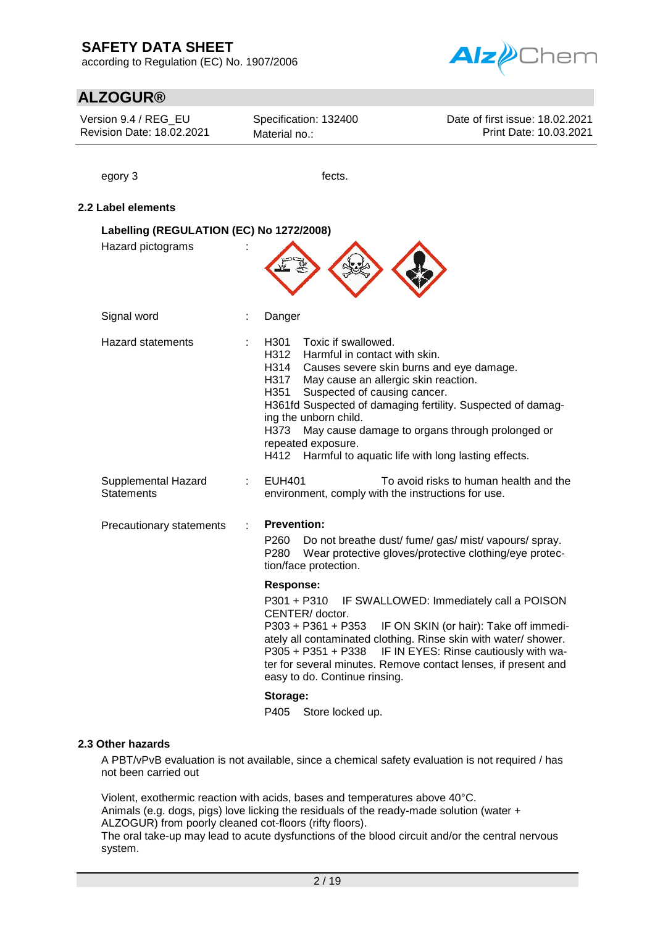according to Regulation (EC) No. 1907/2006



## **ALZOGUR®**

| Version 9.4 / REG EU<br>Revision Date: 18.02.2021 | Specification: 132400<br>Material no.:                                                                                                                                                                                              | Date of first issue: 18.02.2021<br>Print Date: 10.03.2021                                                                                                                                                                                                       |  |  |  |  |
|---------------------------------------------------|-------------------------------------------------------------------------------------------------------------------------------------------------------------------------------------------------------------------------------------|-----------------------------------------------------------------------------------------------------------------------------------------------------------------------------------------------------------------------------------------------------------------|--|--|--|--|
| egory 3                                           | fects.                                                                                                                                                                                                                              |                                                                                                                                                                                                                                                                 |  |  |  |  |
| 2.2 Label elements                                |                                                                                                                                                                                                                                     |                                                                                                                                                                                                                                                                 |  |  |  |  |
| Labelling (REGULATION (EC) No 1272/2008)          |                                                                                                                                                                                                                                     |                                                                                                                                                                                                                                                                 |  |  |  |  |
| Hazard pictograms                                 |                                                                                                                                                                                                                                     |                                                                                                                                                                                                                                                                 |  |  |  |  |
| Signal word                                       | Danger                                                                                                                                                                                                                              |                                                                                                                                                                                                                                                                 |  |  |  |  |
| <b>Hazard statements</b>                          | H301<br>Toxic if swallowed.<br>H312<br>Harmful in contact with skin.<br>H314<br>H317<br>May cause an allergic skin reaction.<br>H351<br>Suspected of causing cancer.<br>ing the unborn child.<br>H373<br>repeated exposure.<br>H412 | Causes severe skin burns and eye damage.<br>H361fd Suspected of damaging fertility. Suspected of damag-<br>May cause damage to organs through prolonged or<br>Harmful to aquatic life with long lasting effects.                                                |  |  |  |  |
| Supplemental Hazard<br><b>Statements</b>          | <b>EUH401</b><br>environment, comply with the instructions for use.                                                                                                                                                                 | To avoid risks to human health and the                                                                                                                                                                                                                          |  |  |  |  |
| Precautionary statements                          | <b>Prevention:</b><br>P <sub>260</sub><br>P <sub>280</sub><br>tion/face protection.                                                                                                                                                 | Do not breathe dust/ fume/ gas/ mist/ vapours/ spray.<br>Wear protective gloves/protective clothing/eye protec-                                                                                                                                                 |  |  |  |  |
|                                                   | <b>Response:</b><br>P301 + P310<br>CENTER/doctor.<br>$P303 + P361 + P353$<br>$P305 + P351 + P338$<br>easy to do. Continue rinsing.<br>Storage:<br>P405<br>Store locked up.                                                          | IF SWALLOWED: Immediately call a POISON<br>IF ON SKIN (or hair): Take off immedi-<br>ately all contaminated clothing. Rinse skin with water/ shower.<br>IF IN EYES: Rinse cautiously with wa-<br>ter for several minutes. Remove contact lenses, if present and |  |  |  |  |

### **2.3 Other hazards**

A PBT/vPvB evaluation is not available, since a chemical safety evaluation is not required / has not been carried out

Violent, exothermic reaction with acids, bases and temperatures above 40°C. Animals (e.g. dogs, pigs) love licking the residuals of the ready-made solution (water + ALZOGUR) from poorly cleaned cot-floors (rifty floors).

The oral take-up may lead to acute dysfunctions of the blood circuit and/or the central nervous system.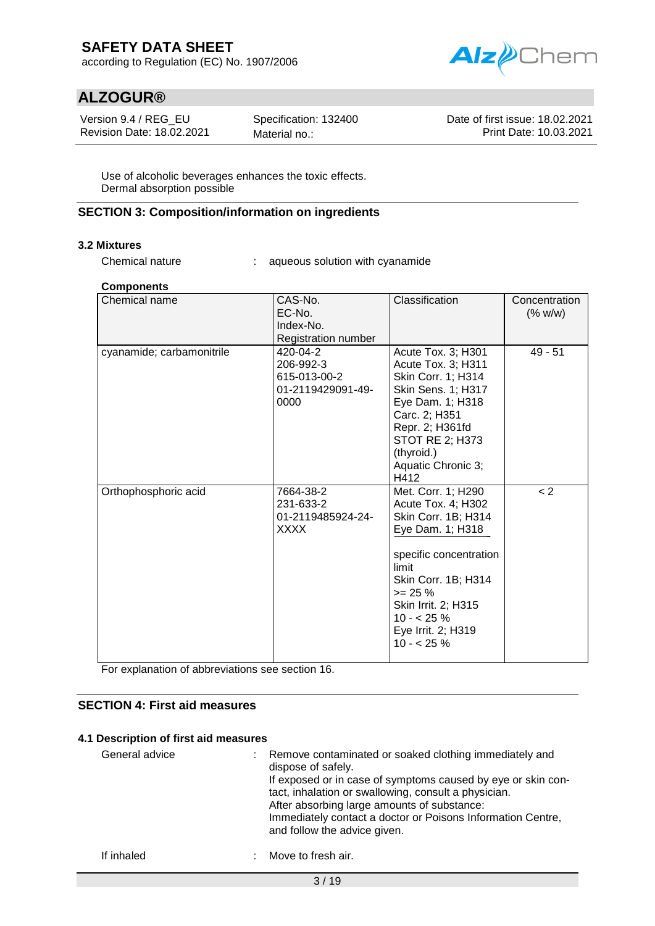according to Regulation (EC) No. 1907/2006



## **ALZOGUR®**

Version 9.4 / REG\_EU Revision Date: 18.02.2021 Specification: 132400 Material no.:

Date of first issue: 18.02.2021 Print Date: 10.03.2021

Use of alcoholic beverages enhances the toxic effects. Dermal absorption possible

### **SECTION 3: Composition/information on ingredients**

### **3.2 Mixtures**

Chemical nature : aqueous solution with cyanamide

### **Components**

| Chemical name             | CAS-No.<br>EC-No.<br>Index-No.<br>Registration number              | Classification                                                                                                                                                                                                                         | Concentration<br>(% w/w) |
|---------------------------|--------------------------------------------------------------------|----------------------------------------------------------------------------------------------------------------------------------------------------------------------------------------------------------------------------------------|--------------------------|
| cyanamide; carbamonitrile | 420-04-2<br>206-992-3<br>615-013-00-2<br>01-2119429091-49-<br>0000 | Acute Tox. 3; H301<br>Acute Tox. 3; H311<br>Skin Corr. 1; H314<br>Skin Sens. 1; H317<br>Eye Dam. 1; H318<br>Carc. 2; H351<br>Repr. 2; H361fd<br>STOT RE 2; H373<br>(thyroid.)<br>Aquatic Chronic 3;<br>H412                            | $49 - 51$                |
| Orthophosphoric acid      | 7664-38-2<br>231-633-2<br>01-2119485924-24-<br>XXXX                | Met. Corr. 1; H290<br>Acute Tox. 4; H302<br>Skin Corr. 1B; H314<br>Eye Dam. 1; H318<br>specific concentration<br>limit<br>Skin Corr. 1B; H314<br>$>= 25 \%$<br>Skin Irrit. 2; H315<br>$10 - 25%$<br>Eye Irrit. 2; H319<br>$10 - 25 \%$ | < 2                      |

For explanation of abbreviations see section 16.

## **SECTION 4: First aid measures**

### **4.1 Description of first aid measures**

| General advice | Remove contaminated or soaked clothing immediately and<br>dispose of safely.<br>If exposed or in case of symptoms caused by eye or skin con-<br>tact, inhalation or swallowing, consult a physician.<br>After absorbing large amounts of substance: |
|----------------|-----------------------------------------------------------------------------------------------------------------------------------------------------------------------------------------------------------------------------------------------------|
|                | Immediately contact a doctor or Poisons Information Centre,<br>and follow the advice given.                                                                                                                                                         |

If inhaled : Move to fresh air.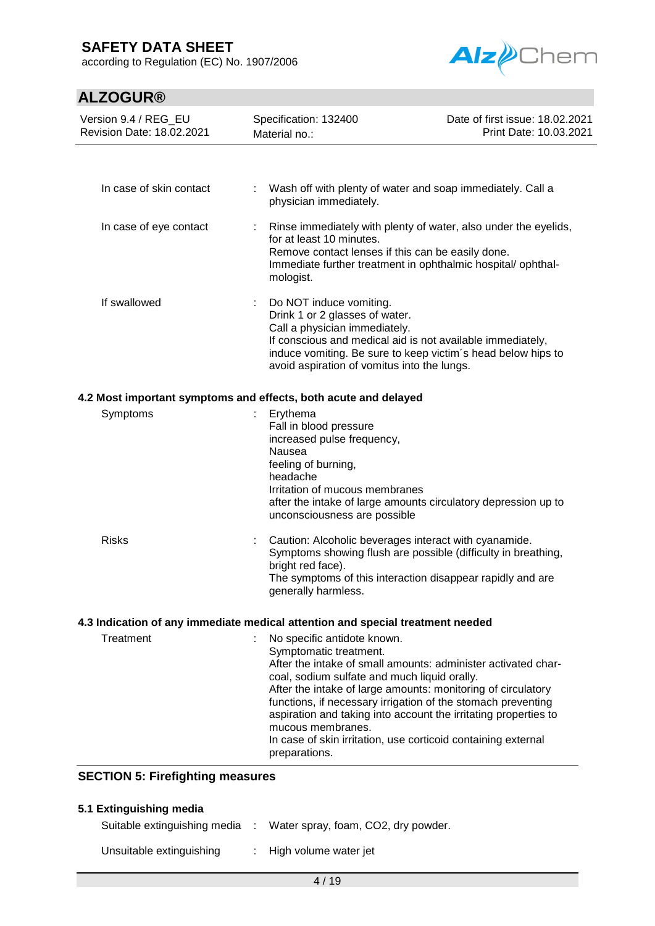according to Regulation (EC) No. 1907/2006



# **ALZOGUR®**

| Version 9.4 / REG_EU<br>Revision Date: 18.02.2021       | Specification: 132400<br>Date of first issue: 18.02.2021<br>Print Date: 10.03.2021<br>Material no.:                                                                                                                                                                                                                                                                                                                                                                              |                                                                 |  |
|---------------------------------------------------------|----------------------------------------------------------------------------------------------------------------------------------------------------------------------------------------------------------------------------------------------------------------------------------------------------------------------------------------------------------------------------------------------------------------------------------------------------------------------------------|-----------------------------------------------------------------|--|
|                                                         |                                                                                                                                                                                                                                                                                                                                                                                                                                                                                  |                                                                 |  |
| In case of skin contact                                 | Wash off with plenty of water and soap immediately. Call a<br>physician immediately.                                                                                                                                                                                                                                                                                                                                                                                             |                                                                 |  |
| In case of eye contact                                  | for at least 10 minutes.<br>Remove contact lenses if this can be easily done.<br>Immediate further treatment in ophthalmic hospital/ophthal-<br>mologist.                                                                                                                                                                                                                                                                                                                        | Rinse immediately with plenty of water, also under the eyelids, |  |
| If swallowed                                            | Do NOT induce vomiting.<br>÷.<br>Drink 1 or 2 glasses of water.<br>Call a physician immediately.<br>If conscious and medical aid is not available immediately,<br>induce vomiting. Be sure to keep victim's head below hips to<br>avoid aspiration of vomitus into the lungs.                                                                                                                                                                                                    |                                                                 |  |
|                                                         | 4.2 Most important symptoms and effects, both acute and delayed                                                                                                                                                                                                                                                                                                                                                                                                                  |                                                                 |  |
| Symptoms                                                | Erythema<br>Fall in blood pressure<br>increased pulse frequency,<br>Nausea<br>feeling of burning,<br>headache<br>Irritation of mucous membranes<br>after the intake of large amounts circulatory depression up to<br>unconsciousness are possible                                                                                                                                                                                                                                |                                                                 |  |
| <b>Risks</b>                                            | Caution: Alcoholic beverages interact with cyanamide.<br>t.<br>Symptoms showing flush are possible (difficulty in breathing,<br>bright red face).<br>The symptoms of this interaction disappear rapidly and are<br>generally harmless.                                                                                                                                                                                                                                           |                                                                 |  |
|                                                         | 4.3 Indication of any immediate medical attention and special treatment needed                                                                                                                                                                                                                                                                                                                                                                                                   |                                                                 |  |
| Treatment                                               | No specific antidote known.<br>Symptomatic treatment.<br>After the intake of small amounts: administer activated char-<br>coal, sodium sulfate and much liquid orally.<br>After the intake of large amounts: monitoring of circulatory<br>functions, if necessary irrigation of the stomach preventing<br>aspiration and taking into account the irritating properties to<br>mucous membranes.<br>In case of skin irritation, use corticoid containing external<br>preparations. |                                                                 |  |
| <b>SECTION 5: Firefighting measures</b>                 |                                                                                                                                                                                                                                                                                                                                                                                                                                                                                  |                                                                 |  |
|                                                         |                                                                                                                                                                                                                                                                                                                                                                                                                                                                                  |                                                                 |  |
| 5.1 Extinguishing media<br>Suitable extinguishing media | Water spray, foam, CO2, dry powder.<br>- 11                                                                                                                                                                                                                                                                                                                                                                                                                                      |                                                                 |  |

Unsuitable extinguishing : High volume water jet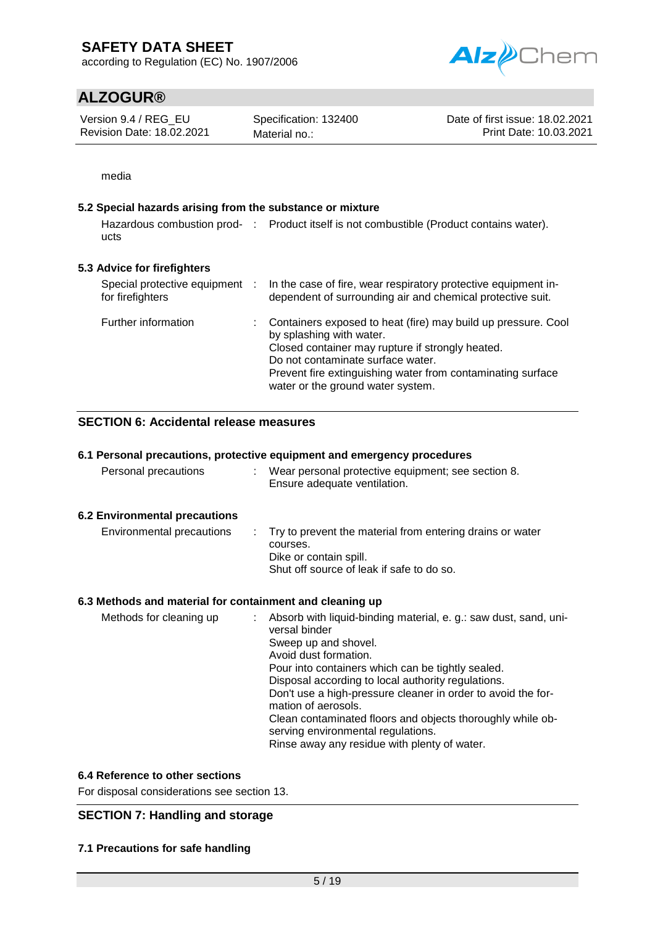according to Regulation (EC) No. 1907/2006



# **ALZOGUR®**

Version 9.4 / REG\_EU Revision Date: 18.02.2021

Specification: 132400 Material no.:

Date of first issue: 18.02.2021 Print Date: 10.03.2021

media

### **5.2 Special hazards arising from the substance or mixture**

Hazardous combustion prod- : Product itself is not combustible (Product contains water). ucts

## **5.3 Advice for firefighters**

| Special protective equipment :<br>for firefighters | In the case of fire, wear respiratory protective equipment in-<br>dependent of surrounding air and chemical protective suit.                                                                                                                                                           |
|----------------------------------------------------|----------------------------------------------------------------------------------------------------------------------------------------------------------------------------------------------------------------------------------------------------------------------------------------|
| Further information                                | Containers exposed to heat (fire) may build up pressure. Cool<br>by splashing with water.<br>Closed container may rupture if strongly heated.<br>Do not contaminate surface water.<br>Prevent fire extinguishing water from contaminating surface<br>water or the ground water system. |

## **SECTION 6: Accidental release measures**

### **6.1 Personal precautions, protective equipment and emergency procedures**

| Personal precautions | Wear personal protective equipment; see section 8.<br>Ensure adequate ventilation. |
|----------------------|------------------------------------------------------------------------------------|
|----------------------|------------------------------------------------------------------------------------|

### **6.2 Environmental precautions**

| Environmental precautions | . Try to prevent the material from entering drains or water<br>courses.<br>Dike or contain spill.<br>Shut off source of leak if safe to do so. |
|---------------------------|------------------------------------------------------------------------------------------------------------------------------------------------|
|                           |                                                                                                                                                |

### **6.3 Methods and material for containment and cleaning up**

| Sweep up and shovel.<br>Avoid dust formation.<br>Pour into containers which can be tightly sealed.<br>Disposal according to local authority regulations.<br>Don't use a high-pressure cleaner in order to avoid the for-<br>mation of aerosols.<br>Clean contaminated floors and objects thoroughly while ob-<br>serving environmental regulations.<br>Rinse away any residue with plenty of water. |  |
|-----------------------------------------------------------------------------------------------------------------------------------------------------------------------------------------------------------------------------------------------------------------------------------------------------------------------------------------------------------------------------------------------------|--|
|-----------------------------------------------------------------------------------------------------------------------------------------------------------------------------------------------------------------------------------------------------------------------------------------------------------------------------------------------------------------------------------------------------|--|

### **6.4 Reference to other sections**

For disposal considerations see section 13.

## **SECTION 7: Handling and storage**

### **7.1 Precautions for safe handling**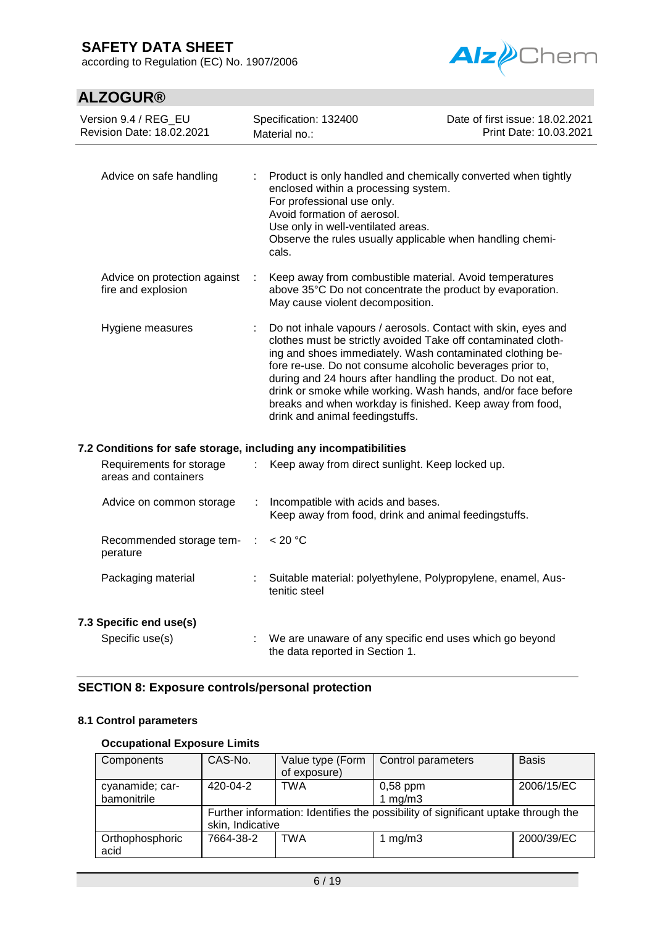according to Regulation (EC) No. 1907/2006





| Version 9.4 / REG_EU<br>Revision Date: 18.02.2021  | Specification: 132400<br>Material no.: |                                                                                                                                                                                                                                                                                                                                                                                                                                                                                         | Date of first issue: 18.02.2021<br>Print Date: 10.03.2021 |
|----------------------------------------------------|----------------------------------------|-----------------------------------------------------------------------------------------------------------------------------------------------------------------------------------------------------------------------------------------------------------------------------------------------------------------------------------------------------------------------------------------------------------------------------------------------------------------------------------------|-----------------------------------------------------------|
| Advice on safe handling                            | ÷                                      | Product is only handled and chemically converted when tightly<br>enclosed within a processing system.<br>For professional use only.<br>Avoid formation of aerosol.<br>Use only in well-ventilated areas.<br>Observe the rules usually applicable when handling chemi-<br>cals.                                                                                                                                                                                                          |                                                           |
| Advice on protection against<br>fire and explosion | $\mathcal{L}$                          | Keep away from combustible material. Avoid temperatures<br>above 35°C Do not concentrate the product by evaporation.<br>May cause violent decomposition.                                                                                                                                                                                                                                                                                                                                |                                                           |
| Hygiene measures                                   |                                        | Do not inhale vapours / aerosols. Contact with skin, eyes and<br>clothes must be strictly avoided Take off contaminated cloth-<br>ing and shoes immediately. Wash contaminated clothing be-<br>fore re-use. Do not consume alcoholic beverages prior to,<br>during and 24 hours after handling the product. Do not eat,<br>drink or smoke while working. Wash hands, and/or face before<br>breaks and when workday is finished. Keep away from food,<br>drink and animal feedingstuffs. |                                                           |

### **7.2 Conditions for safe storage, including any incompatibilities**

| Requirements for storage<br>areas and containers          | : Keep away from direct sunlight. Keep locked up.                                            |
|-----------------------------------------------------------|----------------------------------------------------------------------------------------------|
| Advice on common storage                                  | : Incompatible with acids and bases.<br>Keep away from food, drink and animal feedingstuffs. |
| Recommended storage tem- $\therefore$ < 20 °C<br>perature |                                                                                              |
| Packaging material                                        | : Suitable material: polyethylene, Polypropylene, enamel, Aus-<br>tenitic steel              |
| 7.3 Specific end use(s)                                   |                                                                                              |
| Specific use(s)                                           | : We are unaware of any specific end uses which go beyond<br>the data reported in Section 1. |

## **SECTION 8: Exposure controls/personal protection**

## **8.1 Control parameters**

### **Occupational Exposure Limits**

| Components              | CAS-No.          | Value type (Form<br>of exposure) | Control parameters                                                                | <b>Basis</b> |
|-------------------------|------------------|----------------------------------|-----------------------------------------------------------------------------------|--------------|
| cyanamide; car-         | 420-04-2         | <b>TWA</b>                       | $0,58$ ppm                                                                        | 2006/15/EC   |
| bamonitrile             |                  |                                  | 1 $mg/m3$                                                                         |              |
|                         | skin, Indicative |                                  | Further information: Identifies the possibility of significant uptake through the |              |
| Orthophosphoric<br>acid | 7664-38-2        | TWA                              | 1 mg/m $3$                                                                        | 2000/39/EC   |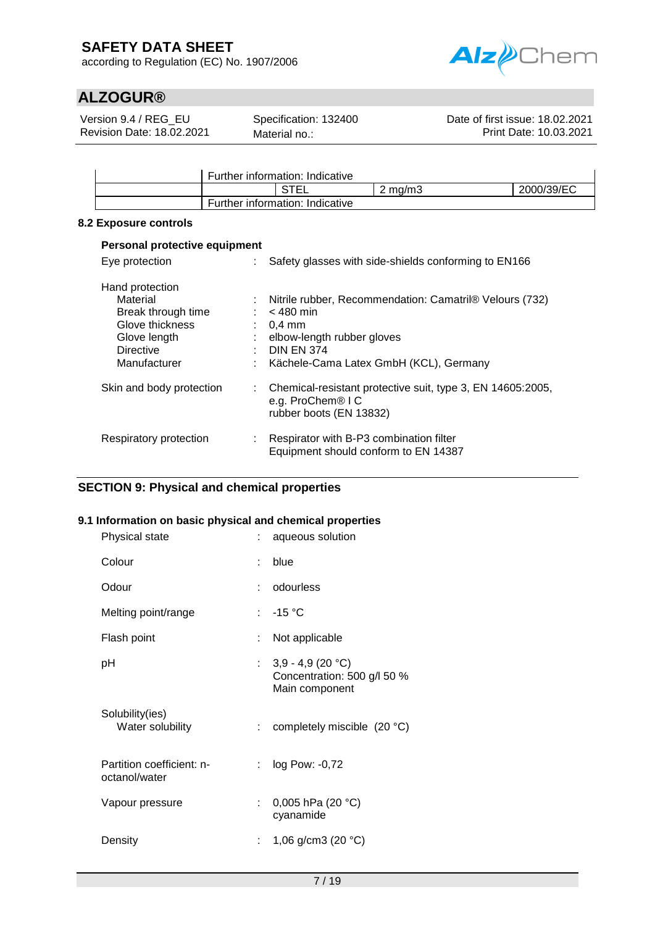according to Regulation (EC) No. 1907/2006



# **ALZOGUR®**

Version 9.4 / REG\_EU Revision Date: 18.02.2021 Specification: 132400 Material no.:

Date of first issue: 18.02.2021 Print Date: 10.03.2021

|                                 | Further information: Indicative |         |            |
|---------------------------------|---------------------------------|---------|------------|
|                                 | <b>RTE</b>                      | ` ma/m3 | 2000/39/EC |
| Further information: Indicative |                                 |         |            |

### **8.2 Exposure controls**

| Personal protective equipment                                                                                            |                |                                                                                                                                                                                                 |  |  |  |
|--------------------------------------------------------------------------------------------------------------------------|----------------|-------------------------------------------------------------------------------------------------------------------------------------------------------------------------------------------------|--|--|--|
| Eye protection                                                                                                           |                | Safety glasses with side-shields conforming to EN166                                                                                                                                            |  |  |  |
| Hand protection<br>Material<br>Break through time<br>Glove thickness<br>Glove length<br><b>Directive</b><br>Manufacturer | ÷.<br>÷.<br>÷. | : Nitrile rubber, Recommendation: Camatril® Velours (732)<br>$<$ 480 min<br>$0.4 \text{ mm}$<br>elbow-length rubber gloves<br>$\therefore$ DIN EN 374<br>Kächele-Cama Latex GmbH (KCL), Germany |  |  |  |
| Skin and body protection                                                                                                 |                | : Chemical-resistant protective suit, type 3, EN 14605:2005,<br>e.g. ProChem® I C<br>rubber boots (EN 13832)                                                                                    |  |  |  |
| Respiratory protection                                                                                                   |                | Respirator with B-P3 combination filter<br>Equipment should conform to EN 14387                                                                                                                 |  |  |  |

## **SECTION 9: Physical and chemical properties**

### **9.1 Information on basic physical and chemical properties**

| Physical state                             | : aqueous solution                                                    |
|--------------------------------------------|-----------------------------------------------------------------------|
| Colour                                     | : blue                                                                |
| Odour                                      | : odourless                                                           |
| Melting point/range                        | $: -15 °C$                                                            |
| Flash point                                | Not applicable                                                        |
| рH                                         | : $3,9 - 4,9(20 °C)$<br>Concentration: 500 g/l 50 %<br>Main component |
| Solubility(ies)<br>Water solubility        | : completely miscible $(20 °C)$                                       |
| Partition coefficient: n-<br>octanol/water | : $log Pow: -0.72$                                                    |
| Vapour pressure                            | : 0,005 hPa (20 °C)<br>cyanamide                                      |
| Density                                    | 1,06 g/cm3 (20 $°C$ )                                                 |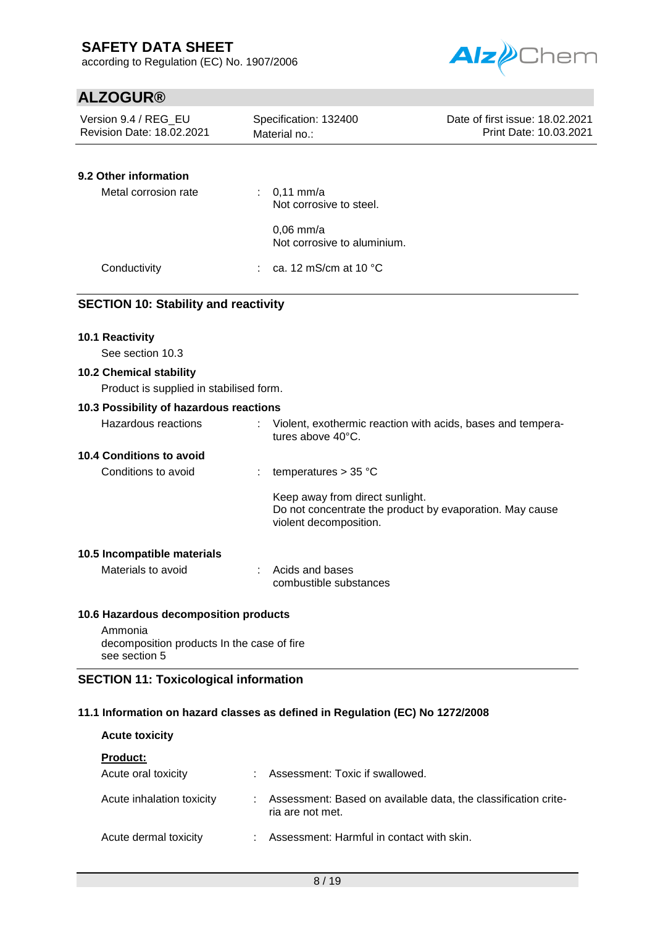according to Regulation (EC) No. 1907/2006



# **ALZOGUR®**

| Version 9.4 / REG_EU<br>Revision Date: 18.02.2021                         | Specification: 132400<br>Material no.:                    | Date of first issue: 18.02.2021<br>Print Date: 10.03.2021   |
|---------------------------------------------------------------------------|-----------------------------------------------------------|-------------------------------------------------------------|
| 9.2 Other information                                                     |                                                           |                                                             |
| Metal corrosion rate                                                      | : $0,11 \text{ mm/a}$<br>Not corrosive to steel.          |                                                             |
|                                                                           | $0,06$ mm/a<br>Not corrosive to aluminium.                |                                                             |
| Conductivity                                                              | ca. 12 mS/cm at 10 °C                                     |                                                             |
| <b>SECTION 10: Stability and reactivity</b>                               |                                                           |                                                             |
| 10.1 Reactivity                                                           |                                                           |                                                             |
| See section 10.3                                                          |                                                           |                                                             |
| <b>10.2 Chemical stability</b><br>Product is supplied in stabilised form. |                                                           |                                                             |
| 10.3 Possibility of hazardous reactions                                   |                                                           |                                                             |
| <b>Hazardous reactions</b>                                                | tures above 40°C.                                         | Violent, exothermic reaction with acids, bases and tempera- |
| <b>10.4 Conditions to avoid</b>                                           |                                                           |                                                             |
| Conditions to avoid                                                       | temperatures $> 35$ °C                                    |                                                             |
|                                                                           | Keep away from direct sunlight.<br>violent decomposition. | Do not concentrate the product by evaporation. May cause    |
| 10.5 Incompatible materials                                               |                                                           |                                                             |
| Materials to avoid                                                        | Acids and bases<br>combustible substances                 |                                                             |
| 10.6 Hazardous decomposition products                                     |                                                           |                                                             |
| Ammonia<br>decomposition products In the case of fire<br>see section 5    |                                                           |                                                             |

## **11.1 Information on hazard classes as defined in Regulation (EC) No 1272/2008**

| <b>Acute toxicity</b>                  |    |                                                                                    |
|----------------------------------------|----|------------------------------------------------------------------------------------|
| <b>Product:</b><br>Acute oral toxicity | ٠. | Assessment: Toxic if swallowed.                                                    |
| Acute inhalation toxicity              |    | Assessment: Based on available data, the classification crite-<br>ria are not met. |
| Acute dermal toxicity                  |    | Assessment: Harmful in contact with skin.                                          |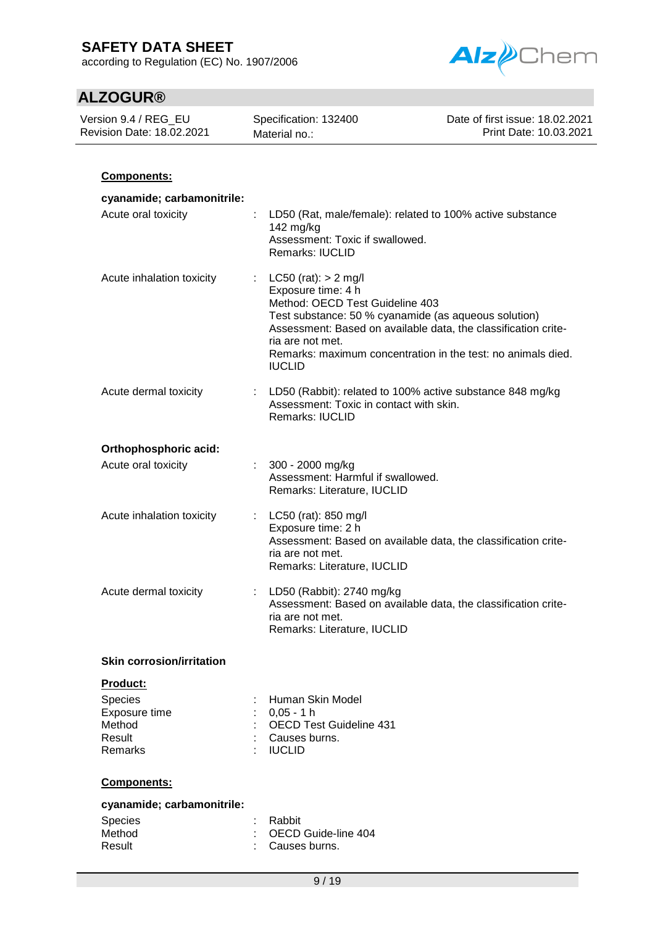according to Regulation (EC) No. 1907/2006



| Version 9.4 / REG_EU<br>Revision Date: 18.02.2021       | Specification: 132400<br>Material no.:                                                                                                                                                                                                                | Date of first issue: 18.02.2021<br>Print Date: 10.03.2021    |
|---------------------------------------------------------|-------------------------------------------------------------------------------------------------------------------------------------------------------------------------------------------------------------------------------------------------------|--------------------------------------------------------------|
|                                                         |                                                                                                                                                                                                                                                       |                                                              |
| Components:                                             |                                                                                                                                                                                                                                                       |                                                              |
| cyanamide; carbamonitrile:<br>Acute oral toxicity       | LD50 (Rat, male/female): related to 100% active substance<br>142 mg/kg<br>Assessment: Toxic if swallowed.<br>Remarks: IUCLID                                                                                                                          |                                                              |
| Acute inhalation toxicity                               | $LC50$ (rat): $> 2$ mg/l<br>÷<br>Exposure time: 4 h<br>Method: OECD Test Guideline 403<br>Test substance: 50 % cyanamide (as aqueous solution)<br>Assessment: Based on available data, the classification crite-<br>ria are not met.<br><b>IUCLID</b> | Remarks: maximum concentration in the test: no animals died. |
| Acute dermal toxicity                                   | LD50 (Rabbit): related to 100% active substance 848 mg/kg<br>Assessment: Toxic in contact with skin.<br><b>Remarks: IUCLID</b>                                                                                                                        |                                                              |
| Orthophosphoric acid:                                   |                                                                                                                                                                                                                                                       |                                                              |
| Acute oral toxicity                                     | 300 - 2000 mg/kg<br>Assessment: Harmful if swallowed.<br>Remarks: Literature, IUCLID                                                                                                                                                                  |                                                              |
| Acute inhalation toxicity                               | LC50 (rat): 850 mg/l<br>÷<br>Exposure time: 2 h<br>Assessment: Based on available data, the classification crite-<br>ria are not met.<br>Remarks: Literature, IUCLID                                                                                  |                                                              |
| Acute dermal toxicity                                   | LD50 (Rabbit): 2740 mg/kg<br>Assessment: Based on available data, the classification crite-<br>ria are not met.<br>Remarks: Literature, IUCLID                                                                                                        |                                                              |
| <b>Skin corrosion/irritation</b>                        |                                                                                                                                                                                                                                                       |                                                              |
| Product:                                                |                                                                                                                                                                                                                                                       |                                                              |
| Species<br>Exposure time<br>Method<br>Result<br>Remarks | Human Skin Model<br>$0,05 - 1 h$<br><b>OECD Test Guideline 431</b><br>Causes burns.<br><b>IUCLID</b>                                                                                                                                                  |                                                              |
| Components:                                             |                                                                                                                                                                                                                                                       |                                                              |
| cyanamide; carbamonitrile:                              |                                                                                                                                                                                                                                                       |                                                              |
| <b>Species</b><br>Method<br>Result                      | Rabbit<br>OECD Guide-line 404<br>Causes burns.                                                                                                                                                                                                        |                                                              |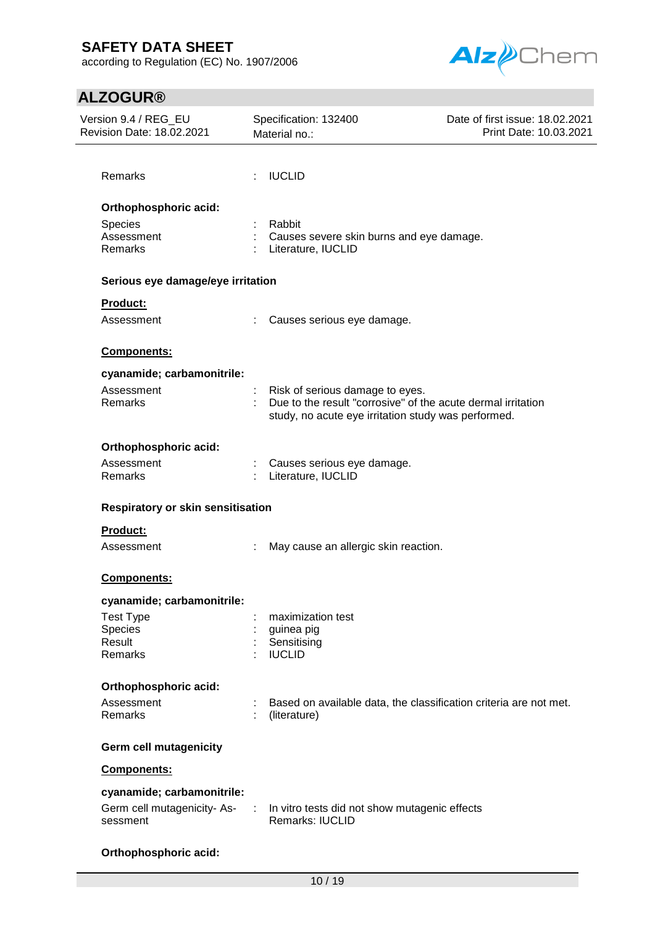according to Regulation (EC) No. 1907/2006



# **ALZOGUR®**

| Version 9.4 / REG_EU<br>Revision Date: 18.02.2021 |   | Specification: 132400<br>Material no.:                                                                              | Date of first issue: 18.02.2021<br>Print Date: 10.03.2021 |  |
|---------------------------------------------------|---|---------------------------------------------------------------------------------------------------------------------|-----------------------------------------------------------|--|
|                                                   |   |                                                                                                                     |                                                           |  |
| <b>Remarks</b>                                    |   | <b>IUCLID</b>                                                                                                       |                                                           |  |
| Orthophosphoric acid:                             |   |                                                                                                                     |                                                           |  |
| Species                                           |   | Rabbit                                                                                                              |                                                           |  |
| Assessment                                        |   | Causes severe skin burns and eye damage.                                                                            |                                                           |  |
| Remarks                                           |   | Literature, IUCLID                                                                                                  |                                                           |  |
| Serious eye damage/eye irritation                 |   |                                                                                                                     |                                                           |  |
| Product:                                          |   |                                                                                                                     |                                                           |  |
| Assessment                                        |   | Causes serious eye damage.                                                                                          |                                                           |  |
| Components:                                       |   |                                                                                                                     |                                                           |  |
| cyanamide; carbamonitrile:                        |   |                                                                                                                     |                                                           |  |
| Assessment                                        |   | Risk of serious damage to eyes.                                                                                     |                                                           |  |
| Remarks                                           |   | Due to the result "corrosive" of the acute dermal irritation<br>study, no acute eye irritation study was performed. |                                                           |  |
| Orthophosphoric acid:                             |   |                                                                                                                     |                                                           |  |
| Assessment                                        |   | Causes serious eye damage.                                                                                          |                                                           |  |
| Remarks                                           |   | Literature, IUCLID                                                                                                  |                                                           |  |
| Respiratory or skin sensitisation                 |   |                                                                                                                     |                                                           |  |
| <b>Product:</b>                                   |   |                                                                                                                     |                                                           |  |
| Assessment                                        |   | May cause an allergic skin reaction.                                                                                |                                                           |  |
| Components:                                       |   |                                                                                                                     |                                                           |  |
| cyanamide; carbamonitrile:                        |   |                                                                                                                     |                                                           |  |
| <b>Test Type</b>                                  |   | maximization test                                                                                                   |                                                           |  |
| Species                                           |   | guinea pig                                                                                                          |                                                           |  |
| Result<br>Remarks                                 |   | Sensitising<br><b>IUCLID</b>                                                                                        |                                                           |  |
|                                                   |   |                                                                                                                     |                                                           |  |
| Orthophosphoric acid:                             |   |                                                                                                                     |                                                           |  |
| Assessment                                        |   | Based on available data, the classification criteria are not met.                                                   |                                                           |  |
| Remarks                                           |   | (literature)                                                                                                        |                                                           |  |
| <b>Germ cell mutagenicity</b>                     |   |                                                                                                                     |                                                           |  |
| Components:                                       |   |                                                                                                                     |                                                           |  |
| cyanamide; carbamonitrile:                        |   |                                                                                                                     |                                                           |  |
| Germ cell mutagenicity-As-                        | ÷ | In vitro tests did not show mutagenic effects                                                                       |                                                           |  |
| sessment                                          |   | <b>Remarks: IUCLID</b>                                                                                              |                                                           |  |
|                                                   |   |                                                                                                                     |                                                           |  |

### **Orthophosphoric acid:**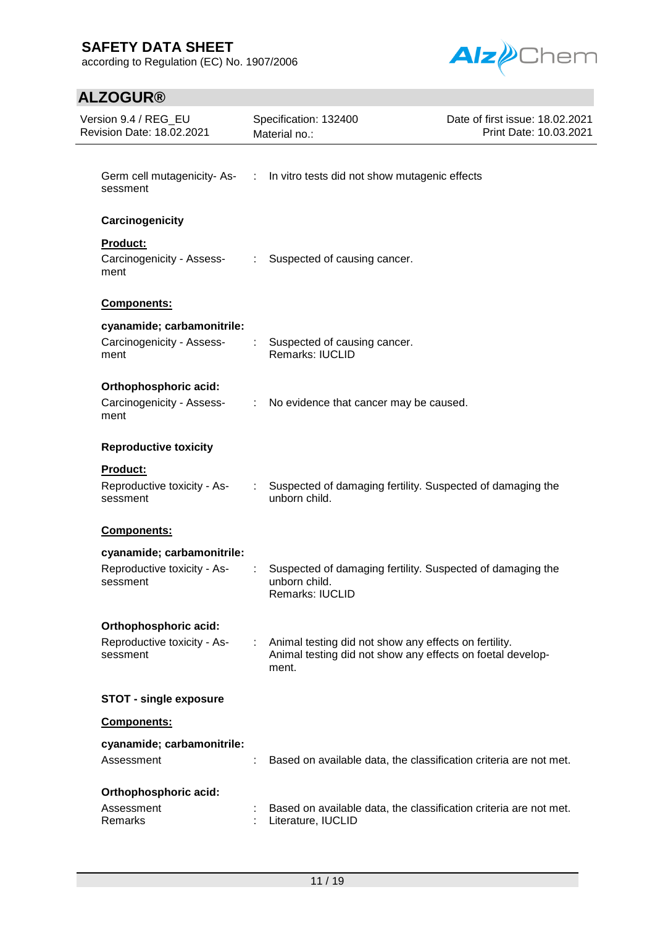according to Regulation (EC) No. 1907/2006



| Version 9.4 / REG_EU<br><b>Revision Date: 18.02.2021</b> |                                                                 |                               | Specification: 132400<br>Material no.:                                                                                       | Date of first issue: 18.02.2021<br>Print Date: 10.03.2021 |  |  |
|----------------------------------------------------------|-----------------------------------------------------------------|-------------------------------|------------------------------------------------------------------------------------------------------------------------------|-----------------------------------------------------------|--|--|
|                                                          | sessment                                                        |                               | Germ cell mutagenicity-As- : In vitro tests did not show mutagenic effects                                                   |                                                           |  |  |
|                                                          | Carcinogenicity                                                 |                               |                                                                                                                              |                                                           |  |  |
|                                                          | <b>Product:</b><br>Carcinogenicity - Assess-<br>ment            | $\mathbb{Z}^{\times}$         | Suspected of causing cancer.                                                                                                 |                                                           |  |  |
|                                                          | Components:                                                     |                               |                                                                                                                              |                                                           |  |  |
|                                                          | cyanamide; carbamonitrile:<br>Carcinogenicity - Assess-<br>ment |                               | Suspected of causing cancer.<br><b>Remarks: IUCLID</b>                                                                       |                                                           |  |  |
|                                                          | Orthophosphoric acid:<br>Carcinogenicity - Assess-<br>ment      |                               | : No evidence that cancer may be caused.                                                                                     |                                                           |  |  |
|                                                          | <b>Reproductive toxicity</b>                                    |                               |                                                                                                                              |                                                           |  |  |
|                                                          | <b>Product:</b>                                                 |                               |                                                                                                                              |                                                           |  |  |
|                                                          | Reproductive toxicity - As-<br>sessment                         | ÷.                            | Suspected of damaging fertility. Suspected of damaging the<br>unborn child.                                                  |                                                           |  |  |
|                                                          | Components:                                                     |                               |                                                                                                                              |                                                           |  |  |
|                                                          | cyanamide; carbamonitrile:                                      |                               |                                                                                                                              |                                                           |  |  |
|                                                          | Reproductive toxicity - As-<br>sessment                         |                               | Suspected of damaging fertility. Suspected of damaging the<br>unborn child.<br><b>Remarks: IUCLID</b>                        |                                                           |  |  |
|                                                          | Orthophosphoric acid:                                           |                               |                                                                                                                              |                                                           |  |  |
|                                                          | Reproductive toxicity - As-<br>sessment                         | $\mathcal{I}^{\mathcal{I}}$ . | Animal testing did not show any effects on fertility.<br>Animal testing did not show any effects on foetal develop-<br>ment. |                                                           |  |  |
|                                                          | <b>STOT - single exposure</b>                                   |                               |                                                                                                                              |                                                           |  |  |
|                                                          | Components:                                                     |                               |                                                                                                                              |                                                           |  |  |
|                                                          | cyanamide; carbamonitrile:<br>Assessment                        | ÷                             | Based on available data, the classification criteria are not met.                                                            |                                                           |  |  |
|                                                          | Orthophosphoric acid:<br>Assessment<br>Remarks                  |                               | Based on available data, the classification criteria are not met.<br>Literature, IUCLID                                      |                                                           |  |  |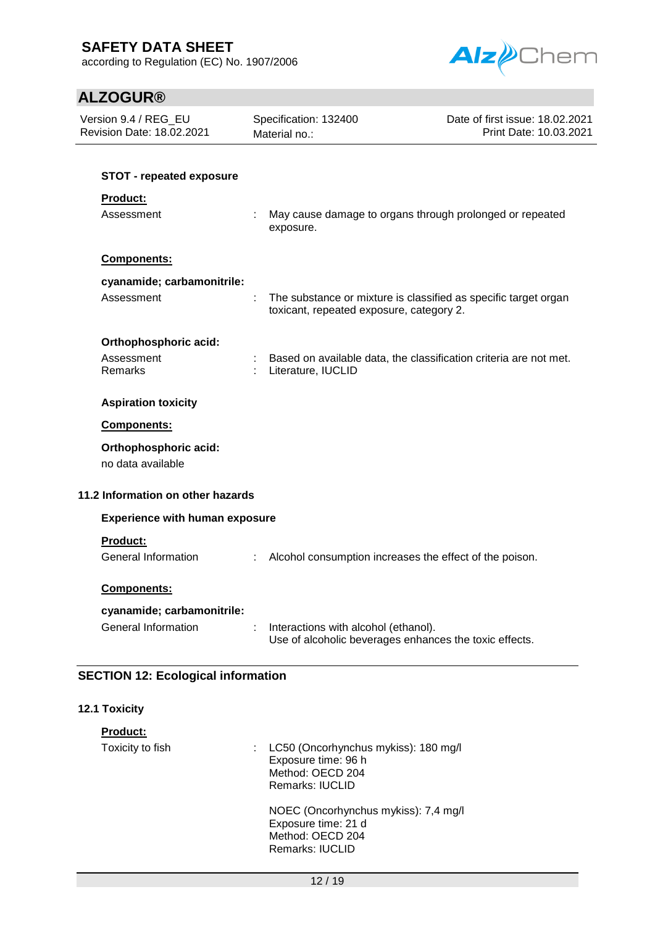according to Regulation (EC) No. 1907/2006



| Version 9.4 / REG_EU<br>Revision Date: 18.02.2021                                       |   | Specification: 132400<br>Material no.:                                                                      | Date of first issue: 18.02.2021<br>Print Date: 10.03.2021 |
|-----------------------------------------------------------------------------------------|---|-------------------------------------------------------------------------------------------------------------|-----------------------------------------------------------|
| <b>STOT - repeated exposure</b><br>Product:<br>Assessment                               |   | May cause damage to organs through prolonged or repeated<br>exposure.                                       |                                                           |
| Components:<br>cyanamide; carbamonitrile:<br>Assessment                                 |   | The substance or mixture is classified as specific target organ<br>toxicant, repeated exposure, category 2. |                                                           |
| Orthophosphoric acid:<br>Assessment<br>Remarks                                          |   | Based on available data, the classification criteria are not met.<br>Literature, IUCLID                     |                                                           |
| <b>Aspiration toxicity</b><br>Components:<br>Orthophosphoric acid:<br>no data available |   |                                                                                                             |                                                           |
| 11.2 Information on other hazards                                                       |   |                                                                                                             |                                                           |
| <b>Experience with human exposure</b>                                                   |   |                                                                                                             |                                                           |
| <b>Product:</b><br><b>General Information</b>                                           |   | Alcohol consumption increases the effect of the poison.                                                     |                                                           |
| <b>Components:</b>                                                                      |   |                                                                                                             |                                                           |
| cyanamide; carbamonitrile:<br><b>General Information</b>                                | t | Interactions with alcohol (ethanol).<br>Use of alcoholic beverages enhances the toxic effects.              |                                                           |
| <b>SECTION 12: Ecological information</b>                                               |   |                                                                                                             |                                                           |
| 12.1 Toxicity                                                                           |   |                                                                                                             |                                                           |

| <b>Product:</b>  |                                                                                                             |
|------------------|-------------------------------------------------------------------------------------------------------------|
| Toxicity to fish | : LC50 (Oncorhynchus mykiss): 180 mg/l<br>Exposure time: 96 h<br>Method: OECD 204<br><b>Remarks: IUCLID</b> |
|                  | NOEC (Oncorhynchus mykiss): 7,4 mg/l<br>Exposure time: 21 d<br>Method: OECD 204<br><b>Remarks: IUCLID</b>   |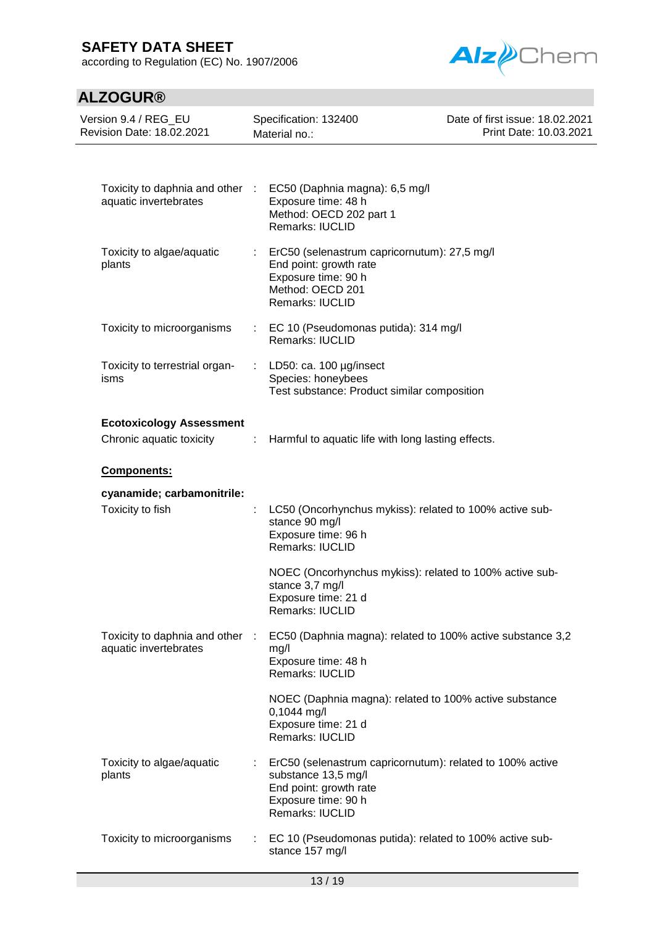according to Regulation (EC) No. 1907/2006



| Version 9.4 / REG EU<br>Revision Date: 18.02.2021           |                           | Specification: 132400<br>Material no.:                                                                                                               | Date of first issue: 18.02.2021<br>Print Date: 10.03.2021 |  |
|-------------------------------------------------------------|---------------------------|------------------------------------------------------------------------------------------------------------------------------------------------------|-----------------------------------------------------------|--|
|                                                             |                           |                                                                                                                                                      |                                                           |  |
| Toxicity to daphnia and other :<br>aquatic invertebrates    |                           | EC50 (Daphnia magna): 6,5 mg/l<br>Exposure time: 48 h<br>Method: OECD 202 part 1<br>Remarks: IUCLID                                                  |                                                           |  |
| Toxicity to algae/aquatic<br>plants                         |                           | ErC50 (selenastrum capricornutum): 27,5 mg/l<br>End point: growth rate<br>Exposure time: 90 h<br>Method: OECD 201<br>Remarks: IUCLID                 |                                                           |  |
| Toxicity to microorganisms                                  |                           | : EC 10 (Pseudomonas putida): 314 mg/l<br>Remarks: IUCLID                                                                                            |                                                           |  |
| Toxicity to terrestrial organ-<br>isms                      | ÷                         | LD50: ca. 100 µg/insect<br>Species: honeybees<br>Test substance: Product similar composition                                                         |                                                           |  |
| <b>Ecotoxicology Assessment</b><br>Chronic aquatic toxicity | ÷                         | Harmful to aquatic life with long lasting effects.                                                                                                   |                                                           |  |
| Components:                                                 |                           |                                                                                                                                                      |                                                           |  |
| cyanamide; carbamonitrile:<br>Toxicity to fish              | t.                        | LC50 (Oncorhynchus mykiss): related to 100% active sub-<br>stance 90 mg/l<br>Exposure time: 96 h<br>Remarks: IUCLID                                  |                                                           |  |
|                                                             |                           | NOEC (Oncorhynchus mykiss): related to 100% active sub-<br>stance 3,7 mg/l<br>Exposure time: 21 d<br><b>Remarks: IUCLID</b>                          |                                                           |  |
| Toxicity to daphnia and other<br>aquatic invertebrates      | $\sim 100$                | EC50 (Daphnia magna): related to 100% active substance 3,2<br>mg/l<br>Exposure time: 48 h<br>Remarks: IUCLID                                         |                                                           |  |
|                                                             |                           | NOEC (Daphnia magna): related to 100% active substance<br>0,1044 mg/l<br>Exposure time: 21 d<br>Remarks: IUCLID                                      |                                                           |  |
| Toxicity to algae/aquatic<br>plants                         | $\mathbb{Z}^{\mathbb{Z}}$ | ErC50 (selenastrum capricornutum): related to 100% active<br>substance 13,5 mg/l<br>End point: growth rate<br>Exposure time: 90 h<br>Remarks: IUCLID |                                                           |  |
| Toxicity to microorganisms                                  |                           | EC 10 (Pseudomonas putida): related to 100% active sub-<br>stance 157 mg/l                                                                           |                                                           |  |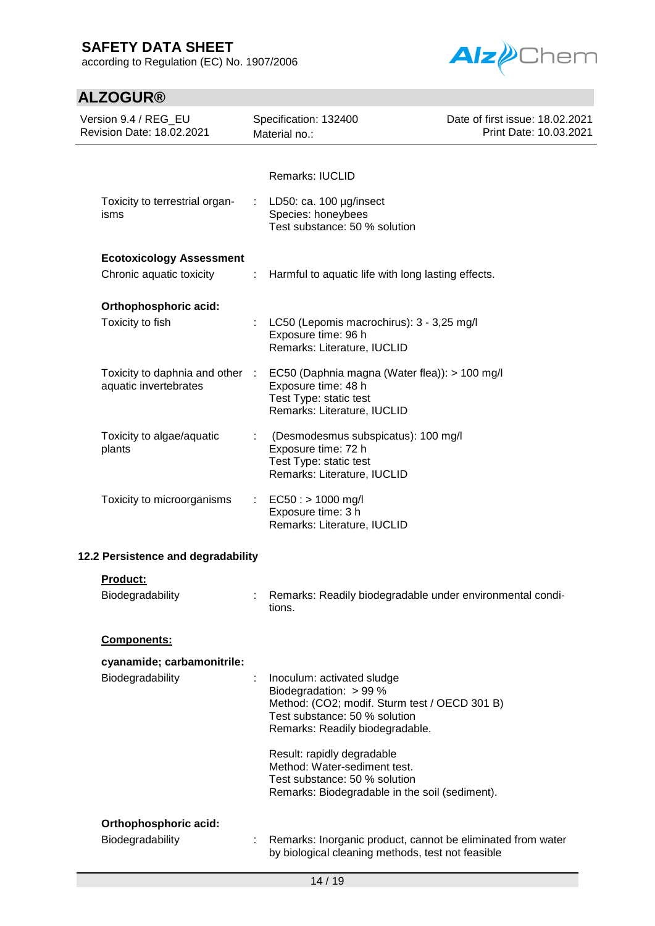according to Regulation (EC) No. 1907/2006



| Version 9.4 / REG_EU<br>Revision Date: 18.02.2021                              | Specification: 132400<br>Material no.:                                                                                                                                           | Date of first issue: 18.02.2021<br>Print Date: 10.03.2021 |
|--------------------------------------------------------------------------------|----------------------------------------------------------------------------------------------------------------------------------------------------------------------------------|-----------------------------------------------------------|
| Toxicity to terrestrial organ-<br>isms                                         | Remarks: IUCLID<br>LD50: ca. 100 µg/insect<br>Species: honeybees<br>Test substance: 50 % solution                                                                                |                                                           |
| <b>Ecotoxicology Assessment</b><br>Chronic aquatic toxicity<br>$\sim 10^{-11}$ | Harmful to aquatic life with long lasting effects.                                                                                                                               |                                                           |
| Orthophosphoric acid:<br>Toxicity to fish                                      | LC50 (Lepomis macrochirus): 3 - 3,25 mg/l<br>Exposure time: 96 h<br>Remarks: Literature, IUCLID                                                                                  |                                                           |
| Toxicity to daphnia and other<br>aquatic invertebrates                         | EC50 (Daphnia magna (Water flea)): > 100 mg/l<br>- 10<br>Exposure time: 48 h<br>Test Type: static test<br>Remarks: Literature, IUCLID                                            |                                                           |
| Toxicity to algae/aquatic<br>plants                                            | (Desmodesmus subspicatus): 100 mg/l<br>Exposure time: 72 h<br>Test Type: static test<br>Remarks: Literature, IUCLID                                                              |                                                           |
| Toxicity to microorganisms                                                     | $EC50:$ > 1000 mg/l<br>÷.<br>Exposure time: 3 h<br>Remarks: Literature, IUCLID                                                                                                   |                                                           |
| 12.2 Persistence and degradability                                             |                                                                                                                                                                                  |                                                           |
| <b>Product:</b>                                                                |                                                                                                                                                                                  |                                                           |
| Biodegradability                                                               | Remarks: Readily biodegradable under environmental condi-<br>tions.                                                                                                              |                                                           |
| Components:                                                                    |                                                                                                                                                                                  |                                                           |
| cyanamide; carbamonitrile:<br>Biodegradability                                 | Inoculum: activated sludge<br>÷<br>Biodegradation: $> 99\%$<br>Method: (CO2; modif. Sturm test / OECD 301 B)<br>Test substance: 50 % solution<br>Remarks: Readily biodegradable. |                                                           |
|                                                                                | Result: rapidly degradable<br>Method: Water-sediment test.<br>Test substance: 50 % solution<br>Remarks: Biodegradable in the soil (sediment).                                    |                                                           |
| Orthophosphoric acid:<br>Biodegradability                                      | Remarks: Inorganic product, cannot be eliminated from water<br>by biological cleaning methods, test not feasible                                                                 |                                                           |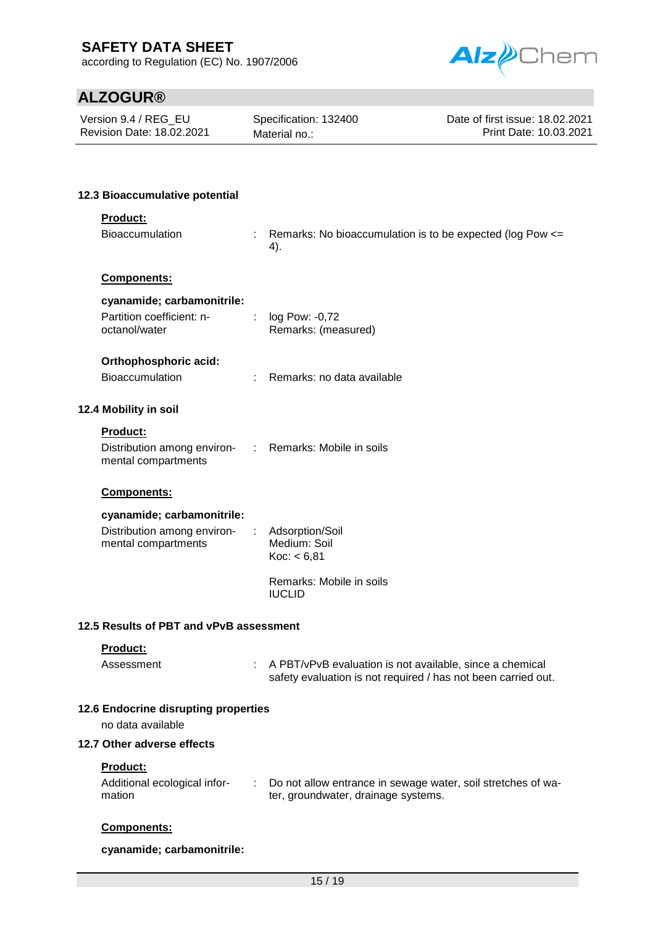according to Regulation (EC) No. 1907/2006



# **ALZOGUR®**

Version 9.4 / REG\_EU Revision Date: 18.02.2021

Specification: 132400 Material no.:

Date of first issue: 18.02.2021 Print Date: 10.03.2021

### **12.3 Bioaccumulative potential**

### **Product:**

Bioaccumulation : Remarks: No bioaccumulation is to be expected (log Pow <= 4).

### **Components:**

### **cyanamide; carbamonitrile:**

| Partition coefficient: n- | log Pow: -0,72      |
|---------------------------|---------------------|
| octanol/water             | Remarks: (measured) |

### **Orthophosphoric acid:**

### **12.4 Mobility in soil**

### **Product:**

| Distribution among environ- | Remarks: Mobile in soils |
|-----------------------------|--------------------------|
| mental compartments         |                          |

### **Components:**

### **cyanamide; carbamonitrile:**

| Distribution among environ-<br>mental compartments | : Adsorption/Soil<br>Medium: Soil<br>Koc: < 6.81 |
|----------------------------------------------------|--------------------------------------------------|
|                                                    | Remarks: Mobile in soils<br><b>IUCLID</b>        |

### **12.5 Results of PBT and vPvB assessment**

### **Product:**

Assessment : A PBT/vPvB evaluation is not available, since a chemical safety evaluation is not required / has not been carried out.

### **12.6 Endocrine disrupting properties**

no data available

### **12.7 Other adverse effects**

### **Product:**

| Additional ecological infor- | Do not allow entrance in sewage water, soil stretches of wa- |
|------------------------------|--------------------------------------------------------------|
| mation                       | ter, groundwater, drainage systems.                          |

### **Components:**

**cyanamide; carbamonitrile:**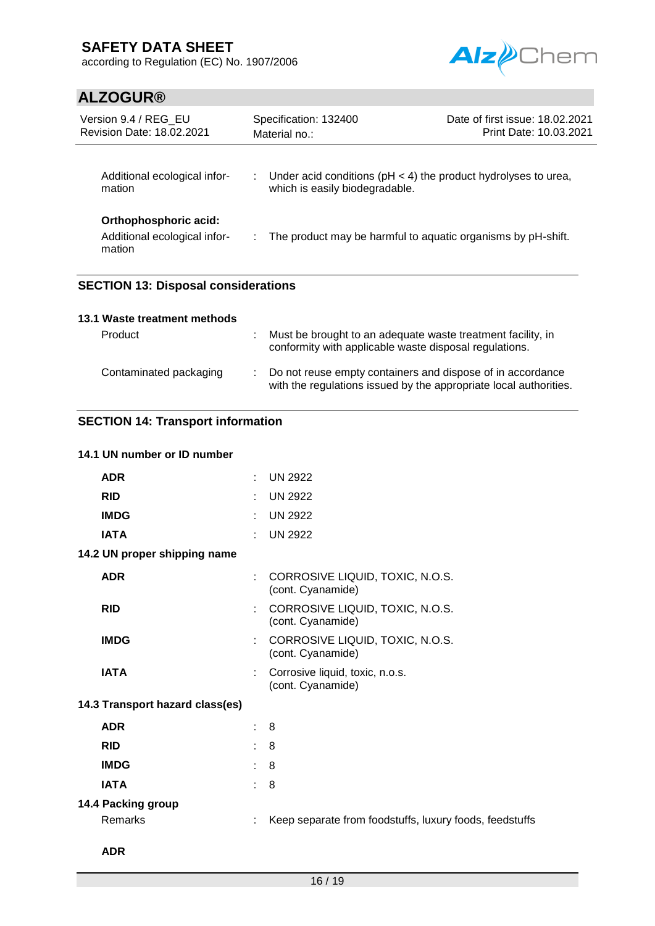according to Regulation (EC) No. 1907/2006



# **ALZOGUR®**

| Version 9.4 / REG EU<br>Revision Date: 18.02.2021               | Specification: 132400<br>Material no.:                                                                 | Date of first issue: 18.02.2021<br>Print Date: 10.03.2021 |
|-----------------------------------------------------------------|--------------------------------------------------------------------------------------------------------|-----------------------------------------------------------|
| Additional ecological infor-<br>mation                          | : Under acid conditions ( $pH < 4$ ) the product hydrolyses to urea,<br>which is easily biodegradable. |                                                           |
| Orthophosphoric acid:<br>Additional ecological infor-<br>mation | : The product may be harmful to aquatic organisms by pH-shift.                                         |                                                           |

## **SECTION 13: Disposal considerations**

### **13.1 Waste treatment methods**

| Product                | Must be brought to an adequate waste treatment facility, in<br>conformity with applicable waste disposal regulations.             |
|------------------------|-----------------------------------------------------------------------------------------------------------------------------------|
| Contaminated packaging | : Do not reuse empty containers and dispose of in accordance<br>with the regulations issued by the appropriate local authorities. |

## **SECTION 14: Transport information**

### **14.1 UN number or ID number**

| <b>ADR</b>                      | $\mathcal{C}_{\mathcal{A}}$ | <b>UN 2922</b>                                          |
|---------------------------------|-----------------------------|---------------------------------------------------------|
| <b>RID</b>                      |                             | <b>UN 2922</b>                                          |
| <b>IMDG</b>                     | ÷.                          | <b>UN 2922</b>                                          |
| <b>IATA</b>                     |                             | <b>UN 2922</b>                                          |
| 14.2 UN proper shipping name    |                             |                                                         |
| <b>ADR</b>                      |                             | CORROSIVE LIQUID, TOXIC, N.O.S.<br>(cont. Cyanamide)    |
| <b>RID</b>                      |                             | CORROSIVE LIQUID, TOXIC, N.O.S.<br>(cont. Cyanamide)    |
| <b>IMDG</b>                     |                             | CORROSIVE LIQUID, TOXIC, N.O.S.<br>(cont. Cyanamide)    |
| <b>IATA</b>                     |                             | Corrosive liquid, toxic, n.o.s.<br>(cont. Cyanamide)    |
| 14.3 Transport hazard class(es) |                             |                                                         |
| <b>ADR</b>                      | t.                          | -8                                                      |
| <b>RID</b>                      |                             | $\therefore$ 8                                          |
| <b>IMDG</b>                     | $\sim$                      | -8                                                      |
| <b>IATA</b>                     | ÷.                          | 8                                                       |
| 14.4 Packing group              |                             |                                                         |
| Remarks                         |                             | Keep separate from foodstuffs, luxury foods, feedstuffs |
|                                 |                             |                                                         |

### **ADR**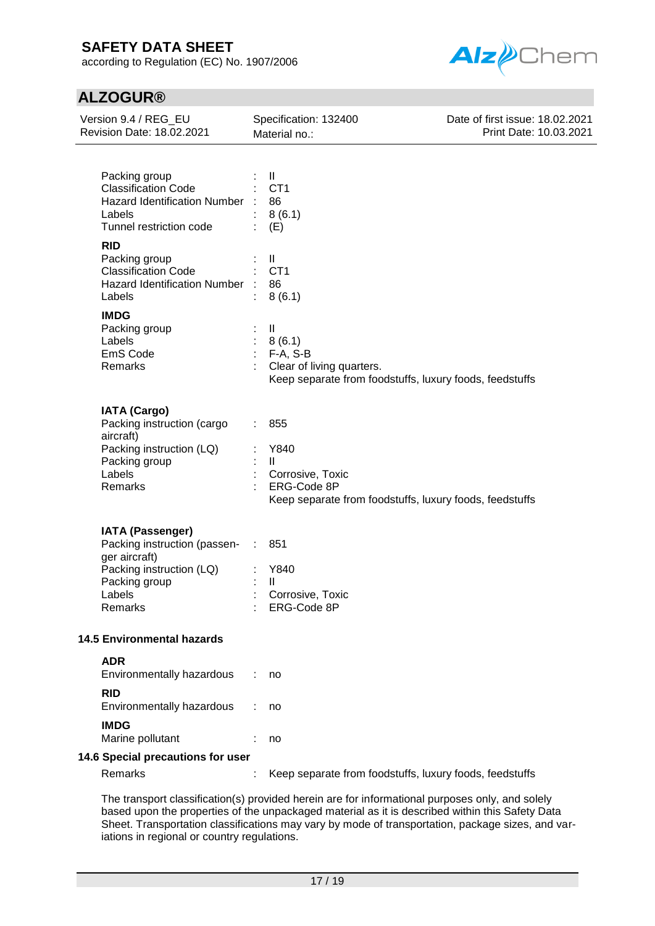according to Regulation (EC) No. 1907/2006



## **ALZOGUR®**

| Version 9.4 / REG_EU<br>Revision Date: 18.02.2021                                                                                          | Specification: 132400<br>Material no.:                                                                                        | Date of first issue: 18.02.2021<br>Print Date: 10.03.2021 |
|--------------------------------------------------------------------------------------------------------------------------------------------|-------------------------------------------------------------------------------------------------------------------------------|-----------------------------------------------------------|
|                                                                                                                                            |                                                                                                                               |                                                           |
| Packing group<br><b>Classification Code</b><br>Hazard Identification Number :<br>Labels<br>Tunnel restriction code                         | Ш<br>CT <sub>1</sub><br>86<br>8(6.1)<br>(E)                                                                                   |                                                           |
| <b>RID</b><br>Packing group<br><b>Classification Code</b><br>Hazard Identification Number :<br>Labels                                      | Ш<br>CT <sub>1</sub><br>86<br>8(6.1)                                                                                          |                                                           |
| <b>IMDG</b><br>Packing group<br>Labels<br>EmS Code<br>Remarks                                                                              | $\mathbf{II}$<br>8(6.1)<br>$F-A, S-B$<br>Clear of living quarters.<br>Keep separate from foodstuffs, luxury foods, feedstuffs |                                                           |
| <b>IATA (Cargo)</b><br>Packing instruction (cargo<br>aircraft)<br>Packing instruction (LQ)<br>Packing group<br>Labels<br>Remarks           | 855<br>Y840<br>$\mathbf{II}$<br>Corrosive, Toxic<br>ERG-Code 8P<br>Keep separate from foodstuffs, luxury foods, feedstuffs    |                                                           |
| <b>IATA (Passenger)</b><br>Packing instruction (passen-<br>ger aircraft)<br>Packing instruction (LQ)<br>Packing group<br>Labels<br>Remarks | 851<br>$\mathcal{L}^{\mathcal{L}}$<br>Y840<br>$\mathbf{H}$<br>Corrosive, Toxic<br>ERG-Code 8P                                 |                                                           |
| <b>14.5 Environmental hazards</b>                                                                                                          |                                                                                                                               |                                                           |
| <b>ADR</b><br>Environmentally hazardous<br><b>RID</b>                                                                                      | no                                                                                                                            |                                                           |
| Environmentally hazardous                                                                                                                  | no                                                                                                                            |                                                           |
| <b>IMDG</b><br>Marine pollutant                                                                                                            | no                                                                                                                            |                                                           |
| 14.6 Special precautions for user<br>Remarks                                                                                               | Keep separate from foodstuffs, luxury foods, feedstuffs                                                                       |                                                           |
|                                                                                                                                            |                                                                                                                               |                                                           |

The transport classification(s) provided herein are for informational purposes only, and solely based upon the properties of the unpackaged material as it is described within this Safety Data Sheet. Transportation classifications may vary by mode of transportation, package sizes, and variations in regional or country regulations.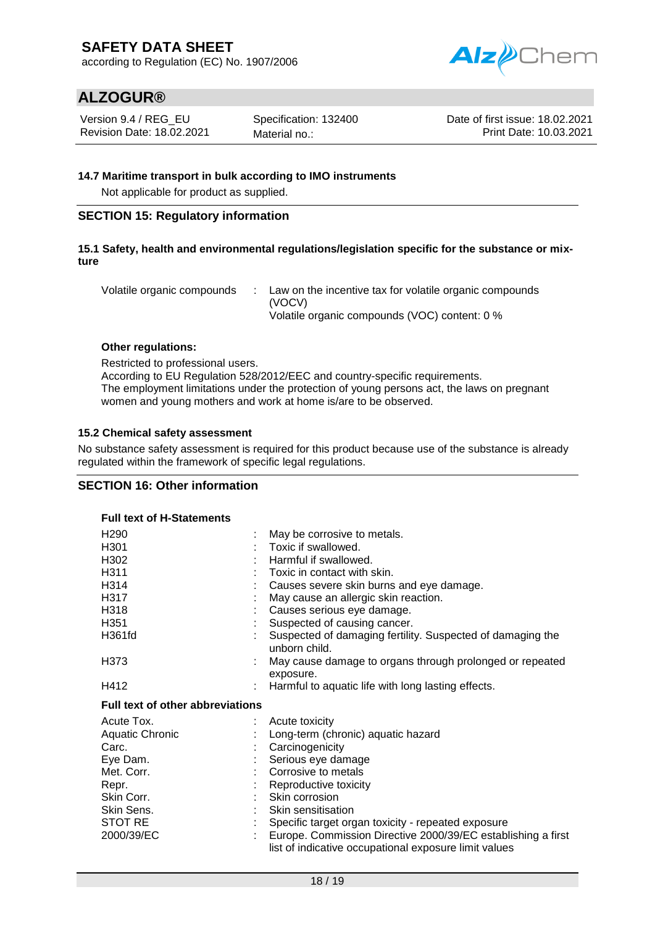according to Regulation (EC) No. 1907/2006



## **ALZOGUR®**

Version 9.4 / REG\_EU Revision Date: 18.02.2021 Specification: 132400 Material no.:

Date of first issue: 18.02.2021 Print Date: 10.03.2021

### **14.7 Maritime transport in bulk according to IMO instruments**

Not applicable for product as supplied.

### **SECTION 15: Regulatory information**

### **15.1 Safety, health and environmental regulations/legislation specific for the substance or mixture**

Volatile organic compounds : Law on the incentive tax for volatile organic compounds (VOCV) Volatile organic compounds (VOC) content: 0 %

### **Other regulations:**

Restricted to professional users. According to EU Regulation 528/2012/EEC and country-specific requirements. The employment limitations under the protection of young persons act, the laws on pregnant women and young mothers and work at home is/are to be observed.

### **15.2 Chemical safety assessment**

No substance safety assessment is required for this product because use of the substance is already regulated within the framework of specific legal regulations.

### **SECTION 16: Other information**

**Full text of H-Statements**

| ו טוו נטאג טו וו טנענטוווט              |                                                                                                                       |
|-----------------------------------------|-----------------------------------------------------------------------------------------------------------------------|
| H <sub>290</sub>                        | May be corrosive to metals.                                                                                           |
| H <sub>301</sub>                        | Toxic if swallowed.                                                                                                   |
| H302                                    | Harmful if swallowed.                                                                                                 |
| H311                                    | Toxic in contact with skin.                                                                                           |
| H314                                    | Causes severe skin burns and eye damage.                                                                              |
| H317                                    | May cause an allergic skin reaction.                                                                                  |
| H318                                    | Causes serious eye damage.                                                                                            |
| H <sub>351</sub>                        | Suspected of causing cancer.                                                                                          |
| H361fd                                  | Suspected of damaging fertility. Suspected of damaging the<br>unborn child.                                           |
| H373                                    | May cause damage to organs through prolonged or repeated<br>exposure.                                                 |
| H412                                    | Harmful to aquatic life with long lasting effects.                                                                    |
| <b>Full text of other abbreviations</b> |                                                                                                                       |
| Acute Tox.                              | Acute toxicity                                                                                                        |
| <b>Aquatic Chronic</b>                  | Long-term (chronic) aquatic hazard                                                                                    |
| Carc.                                   | Carcinogenicity                                                                                                       |
| Eye Dam.                                | Serious eye damage                                                                                                    |
| Met. Corr.                              | Corrosive to metals                                                                                                   |
| Repr.                                   | Reproductive toxicity                                                                                                 |
| Skin Corr.                              | Skin corrosion                                                                                                        |
| Skin Sens.                              | Skin sensitisation                                                                                                    |
| STOT RE                                 | Specific target organ toxicity - repeated exposure                                                                    |
| 2000/39/EC                              | Europe. Commission Directive 2000/39/EC establishing a first<br>list of indicative occupational exposure limit values |